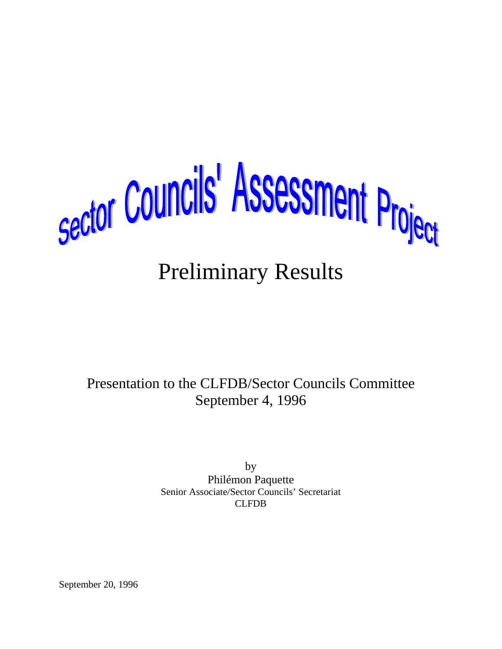

# Preliminary Results

Presentation to the CLFDB/Sector Councils Committee September 4, 1996

> by Philémon Paquette Senior Associate/Sector Councils' Secretariat CLFDB

September 20, 1996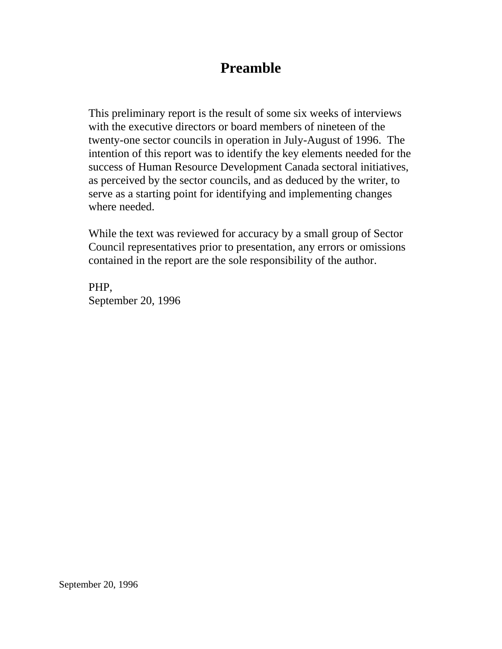## **Preamble**

This preliminary report is the result of some six weeks of interviews with the executive directors or board members of nineteen of the twenty-one sector councils in operation in July-August of 1996. The intention of this report was to identify the key elements needed for the success of Human Resource Development Canada sectoral initiatives, as perceived by the sector councils, and as deduced by the writer, to serve as a starting point for identifying and implementing changes where needed.

While the text was reviewed for accuracy by a small group of Sector Council representatives prior to presentation, any errors or omissions contained in the report are the sole responsibility of the author.

PHP, September 20, 1996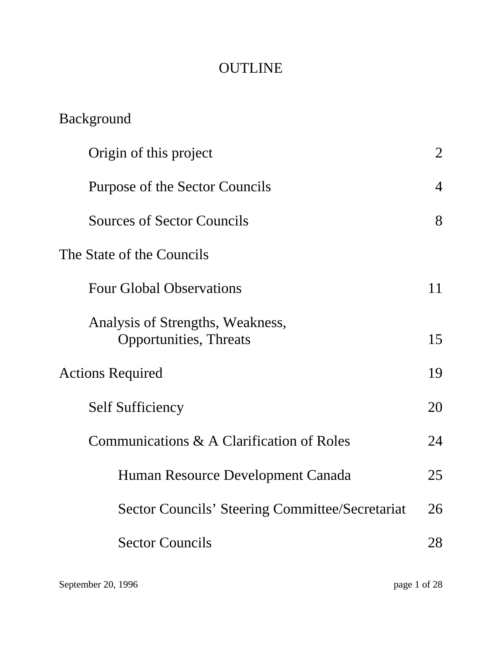## **OUTLINE**

| <b>Background</b>                                                  |                |
|--------------------------------------------------------------------|----------------|
| Origin of this project                                             | 2              |
| Purpose of the Sector Councils                                     | $\overline{4}$ |
| <b>Sources of Sector Councils</b>                                  | 8              |
| The State of the Councils                                          |                |
| <b>Four Global Observations</b>                                    | 11             |
| Analysis of Strengths, Weakness,<br><b>Opportunities</b> , Threats | 15             |
| <b>Actions Required</b>                                            | 19             |
| <b>Self Sufficiency</b>                                            | 20             |
| Communications & A Clarification of Roles                          | 24             |
| Human Resource Development Canada                                  | 25             |
| <b>Sector Councils' Steering Committee/Secretariat</b>             | 26             |
| <b>Sector Councils</b>                                             | 28             |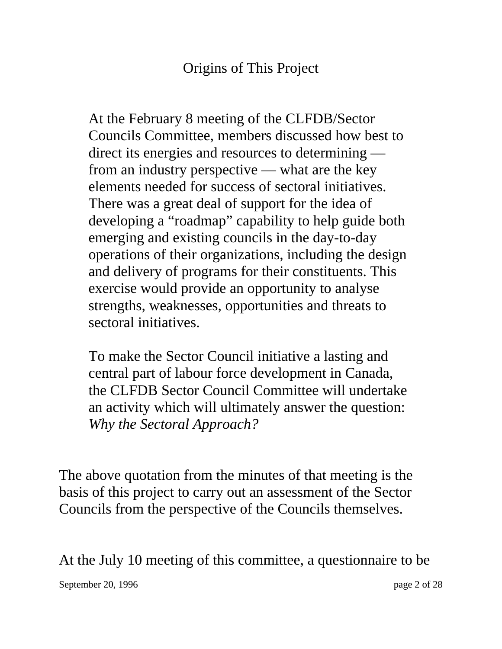## Origins of This Project

At the February 8 meeting of the CLFDB/Sector Councils Committee, members discussed how best to direct its energies and resources to determining from an industry perspective — what are the key elements needed for success of sectoral initiatives. There was a great deal of support for the idea of developing a "roadmap" capability to help guide both emerging and existing councils in the day-to-day operations of their organizations, including the design and delivery of programs for their constituents. This exercise would provide an opportunity to analyse strengths, weaknesses, opportunities and threats to sectoral initiatives.

To make the Sector Council initiative a lasting and central part of labour force development in Canada, the CLFDB Sector Council Committee will undertake an activity which will ultimately answer the question: *Why the Sectoral Approach?*

The above quotation from the minutes of that meeting is the basis of this project to carry out an assessment of the Sector Councils from the perspective of the Councils themselves.

At the July 10 meeting of this committee, a questionnaire to be

September 20, 1996 page 2 of 28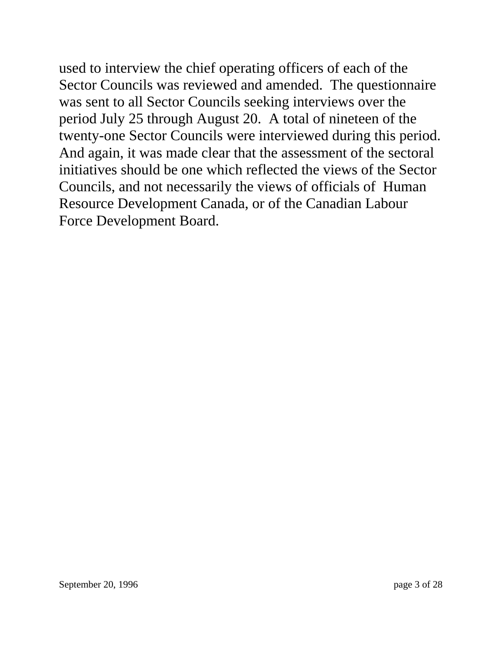used to interview the chief operating officers of each of the Sector Councils was reviewed and amended. The questionnaire was sent to all Sector Councils seeking interviews over the period July 25 through August 20. A total of nineteen of the twenty-one Sector Councils were interviewed during this period. And again, it was made clear that the assessment of the sectoral initiatives should be one which reflected the views of the Sector Councils, and not necessarily the views of officials of Human Resource Development Canada, or of the Canadian Labour Force Development Board.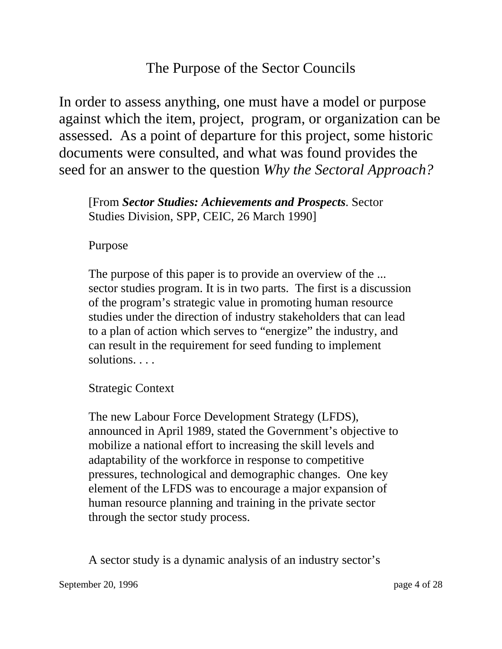## The Purpose of the Sector Councils

In order to assess anything, one must have a model or purpose against which the item, project, program, or organization can be assessed. As a point of departure for this project, some historic documents were consulted, and what was found provides the seed for an answer to the question *Why the Sectoral Approach?*

[From *Sector Studies: Achievements and Prospects*. Sector Studies Division, SPP, CEIC, 26 March 1990]

#### Purpose

The purpose of this paper is to provide an overview of the ... sector studies program. It is in two parts. The first is a discussion of the program's strategic value in promoting human resource studies under the direction of industry stakeholders that can lead to a plan of action which serves to "energize" the industry, and can result in the requirement for seed funding to implement solutions. . . .

Strategic Context

The new Labour Force Development Strategy (LFDS), announced in April 1989, stated the Government's objective to mobilize a national effort to increasing the skill levels and adaptability of the workforce in response to competitive pressures, technological and demographic changes. One key element of the LFDS was to encourage a major expansion of human resource planning and training in the private sector through the sector study process.

A sector study is a dynamic analysis of an industry sector's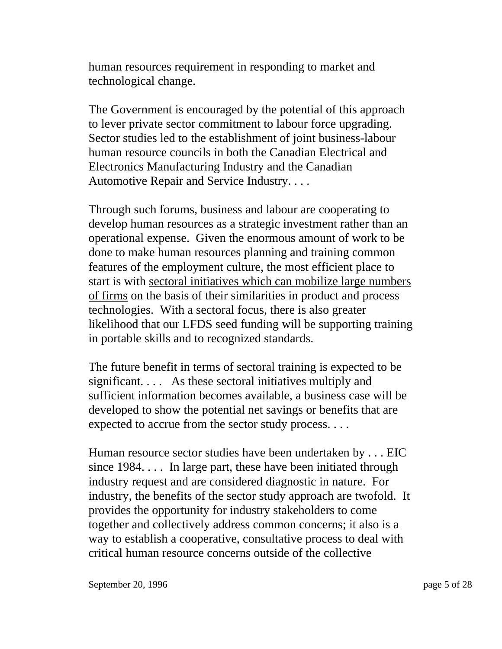human resources requirement in responding to market and technological change.

The Government is encouraged by the potential of this approach to lever private sector commitment to labour force upgrading. Sector studies led to the establishment of joint business-labour human resource councils in both the Canadian Electrical and Electronics Manufacturing Industry and the Canadian Automotive Repair and Service Industry. . . .

Through such forums, business and labour are cooperating to develop human resources as a strategic investment rather than an operational expense. Given the enormous amount of work to be done to make human resources planning and training common features of the employment culture, the most efficient place to start is with sectoral initiatives which can mobilize large numbers of firms on the basis of their similarities in product and process technologies. With a sectoral focus, there is also greater likelihood that our LFDS seed funding will be supporting training in portable skills and to recognized standards.

The future benefit in terms of sectoral training is expected to be significant. . . . As these sectoral initiatives multiply and sufficient information becomes available, a business case will be developed to show the potential net savings or benefits that are expected to accrue from the sector study process. . . .

Human resource sector studies have been undertaken by . . . EIC since 1984. . . . In large part, these have been initiated through industry request and are considered diagnostic in nature. For industry, the benefits of the sector study approach are twofold. It provides the opportunity for industry stakeholders to come together and collectively address common concerns; it also is a way to establish a cooperative, consultative process to deal with critical human resource concerns outside of the collective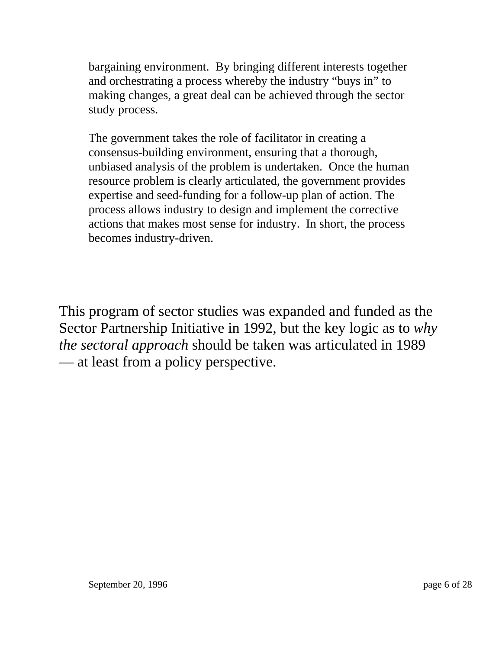bargaining environment. By bringing different interests together and orchestrating a process whereby the industry "buys in" to making changes, a great deal can be achieved through the sector study process.

The government takes the role of facilitator in creating a consensus-building environment, ensuring that a thorough, unbiased analysis of the problem is undertaken. Once the human resource problem is clearly articulated, the government provides expertise and seed-funding for a follow-up plan of action. The process allows industry to design and implement the corrective actions that makes most sense for industry. In short, the process becomes industry-driven.

This program of sector studies was expanded and funded as the Sector Partnership Initiative in 1992, but the key logic as to *why the sectoral approach* should be taken was articulated in 1989 — at least from a policy perspective.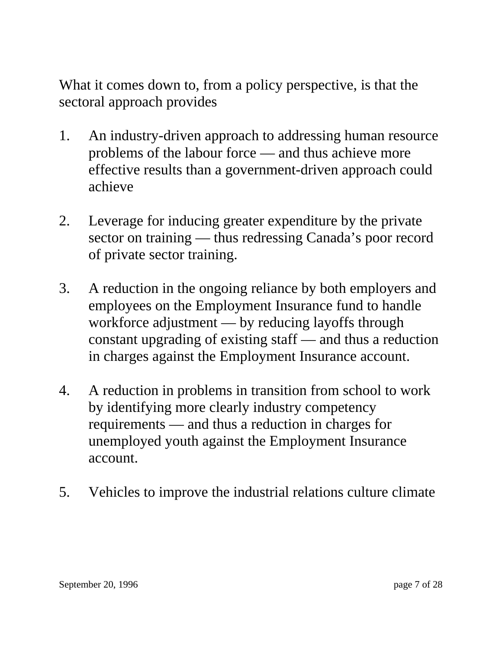What it comes down to, from a policy perspective, is that the sectoral approach provides

- 1. An industry-driven approach to addressing human resource problems of the labour force — and thus achieve more effective results than a government-driven approach could achieve
- 2. Leverage for inducing greater expenditure by the private sector on training — thus redressing Canada's poor record of private sector training.
- 3. A reduction in the ongoing reliance by both employers and employees on the Employment Insurance fund to handle workforce adjustment — by reducing layoffs through constant upgrading of existing staff — and thus a reduction in charges against the Employment Insurance account.
- 4. A reduction in problems in transition from school to work by identifying more clearly industry competency requirements — and thus a reduction in charges for unemployed youth against the Employment Insurance account.
- 5. Vehicles to improve the industrial relations culture climate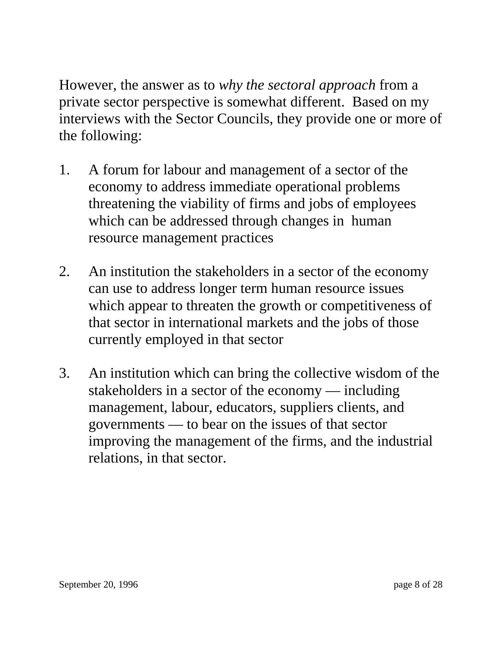However, the answer as to *why the sectoral approach* from a private sector perspective is somewhat different. Based on my interviews with the Sector Councils, they provide one or more of the following:

- 1. A forum for labour and management of a sector of the economy to address immediate operational problems threatening the viability of firms and jobs of employees which can be addressed through changes in human resource management practices
- 2. An institution the stakeholders in a sector of the economy can use to address longer term human resource issues which appear to threaten the growth or competitiveness of that sector in international markets and the jobs of those currently employed in that sector
- 3. An institution which can bring the collective wisdom of the stakeholders in a sector of the economy — including management, labour, educators, suppliers clients, and governments — to bear on the issues of that sector improving the management of the firms, and the industrial relations, in that sector.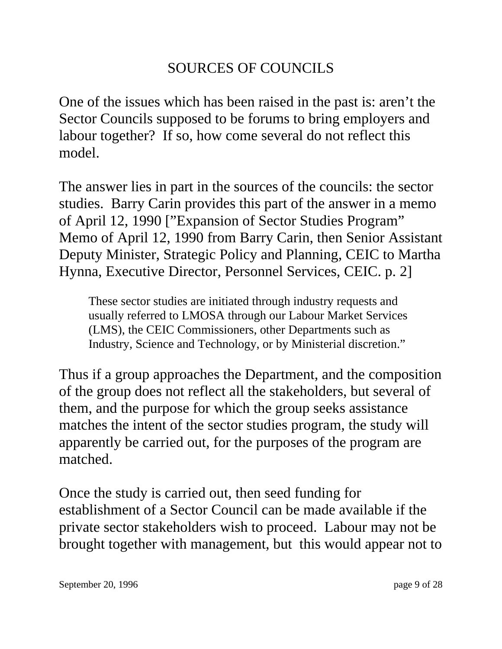## SOURCES OF COUNCILS

One of the issues which has been raised in the past is: aren't the Sector Councils supposed to be forums to bring employers and labour together? If so, how come several do not reflect this model.

The answer lies in part in the sources of the councils: the sector studies. Barry Carin provides this part of the answer in a memo of April 12, 1990 ["Expansion of Sector Studies Program" Memo of April 12, 1990 from Barry Carin, then Senior Assistant Deputy Minister, Strategic Policy and Planning, CEIC to Martha Hynna, Executive Director, Personnel Services, CEIC. p. 2]

These sector studies are initiated through industry requests and usually referred to LMOSA through our Labour Market Services (LMS), the CEIC Commissioners, other Departments such as Industry, Science and Technology, or by Ministerial discretion."

Thus if a group approaches the Department, and the composition of the group does not reflect all the stakeholders, but several of them, and the purpose for which the group seeks assistance matches the intent of the sector studies program, the study will apparently be carried out, for the purposes of the program are matched.

Once the study is carried out, then seed funding for establishment of a Sector Council can be made available if the private sector stakeholders wish to proceed. Labour may not be brought together with management, but this would appear not to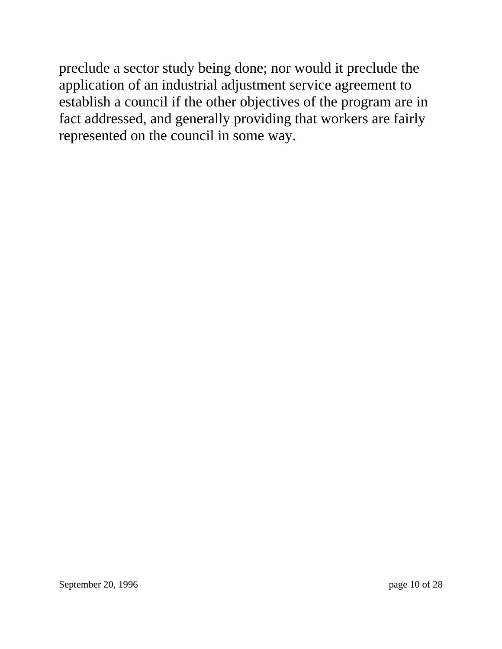preclude a sector study being done; nor would it preclude the application of an industrial adjustment service agreement to establish a council if the other objectives of the program are in fact addressed, and generally providing that workers are fairly represented on the council in some way.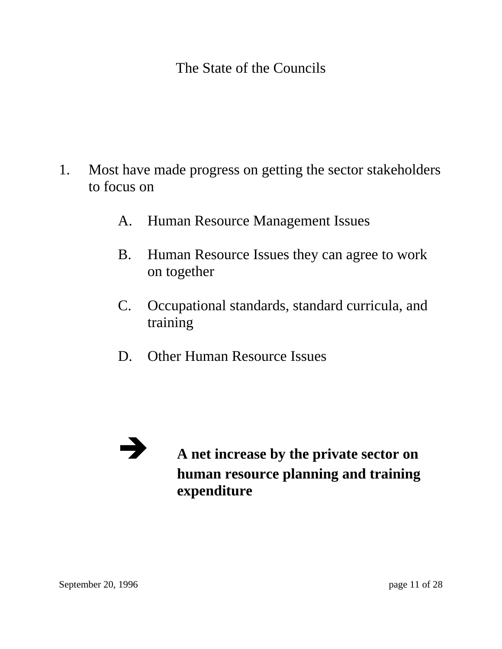The State of the Councils

- 1. Most have made progress on getting the sector stakeholders to focus on
	- A. Human Resource Management Issues
	- B. Human Resource Issues they can agree to work on together
	- C. Occupational standards, standard curricula, and training
	- D. Other Human Resource Issues

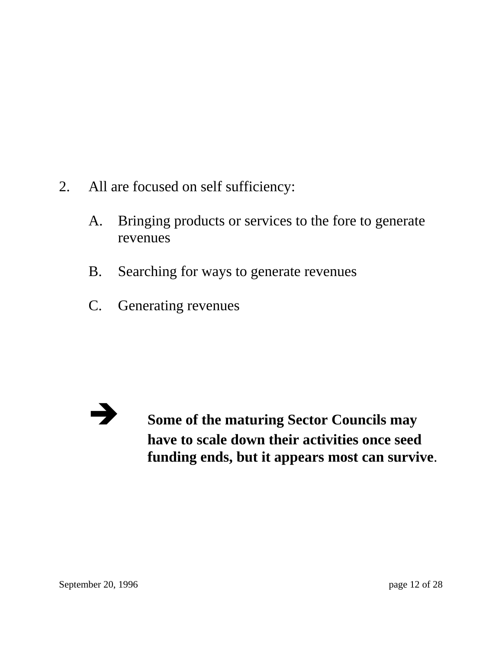- 2. All are focused on self sufficiency:
	- A. Bringing products or services to the fore to generate revenues
	- B. Searching for ways to generate revenues
	- C. Generating revenues



**Example 3** Some of the maturing Sector Councils may **have to scale down their activities once seed funding ends, but it appears most can survive**.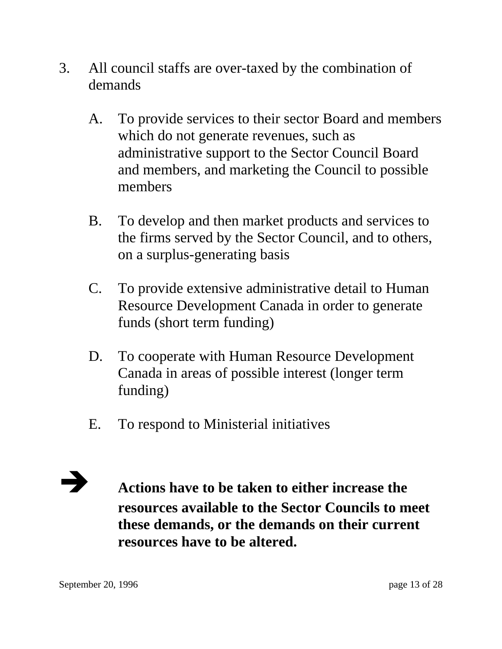- 3. All council staffs are over-taxed by the combination of demands
	- A. To provide services to their sector Board and members which do not generate revenues, such as administrative support to the Sector Council Board and members, and marketing the Council to possible members
	- B. To develop and then market products and services to the firms served by the Sector Council, and to others, on a surplus-generating basis
	- C. To provide extensive administrative detail to Human Resource Development Canada in order to generate funds (short term funding)
	- D. To cooperate with Human Resource Development Canada in areas of possible interest (longer term funding)
	- E. To respond to Ministerial initiatives



**Actions have to be taken to either increase the resources available to the Sector Councils to meet these demands, or the demands on their current resources have to be altered.**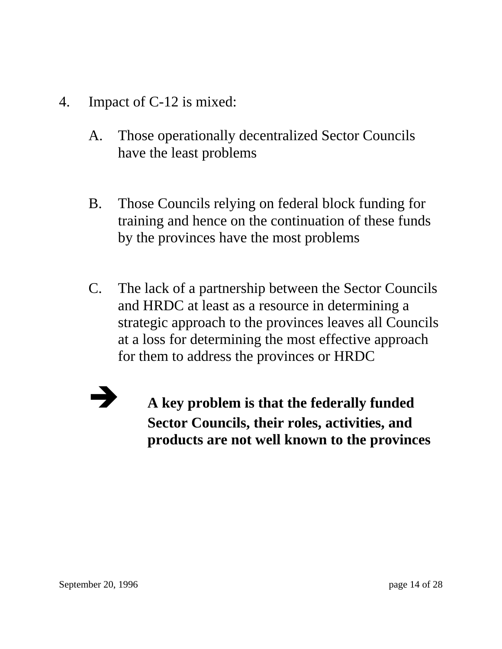- 4. Impact of C-12 is mixed:
	- A. Those operationally decentralized Sector Councils have the least problems
	- B. Those Councils relying on federal block funding for training and hence on the continuation of these funds by the provinces have the most problems
	- C. The lack of a partnership between the Sector Councils and HRDC at least as a resource in determining a strategic approach to the provinces leaves all Councils at a loss for determining the most effective approach for them to address the provinces or HRDC



Î **A key problem is that the federally funded Sector Councils, their roles, activities, and products are not well known to the provinces**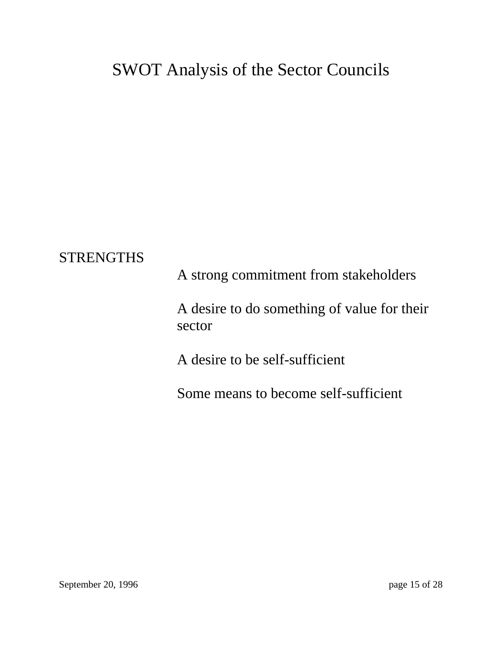## SWOT Analysis of the Sector Councils

#### **STRENGTHS**

A strong commitment from stakeholders

A desire to do something of value for their sector

A desire to be self-sufficient

Some means to become self-sufficient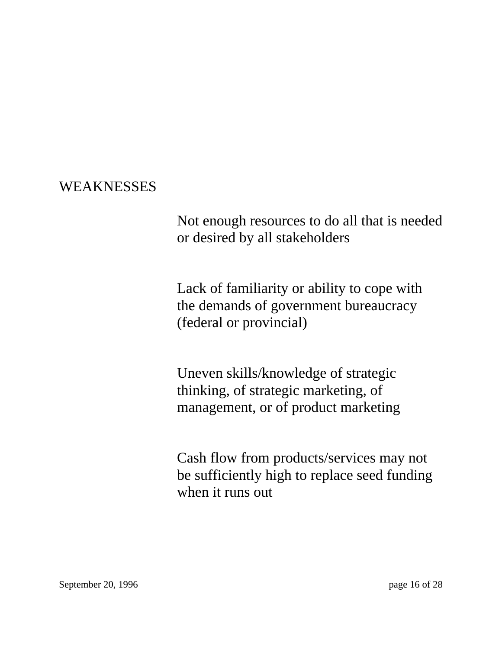#### WEAKNESSES

Not enough resources to do all that is needed or desired by all stakeholders

Lack of familiarity or ability to cope with the demands of government bureaucracy (federal or provincial)

Uneven skills/knowledge of strategic thinking, of strategic marketing, of management, or of product marketing

Cash flow from products/services may not be sufficiently high to replace seed funding when it runs out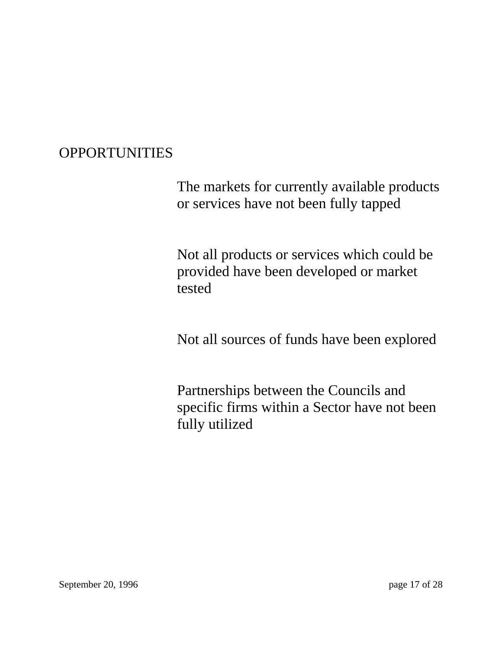### **OPPORTUNITIES**

The markets for currently available products or services have not been fully tapped

Not all products or services which could be provided have been developed or market tested

Not all sources of funds have been explored

Partnerships between the Councils and specific firms within a Sector have not been fully utilized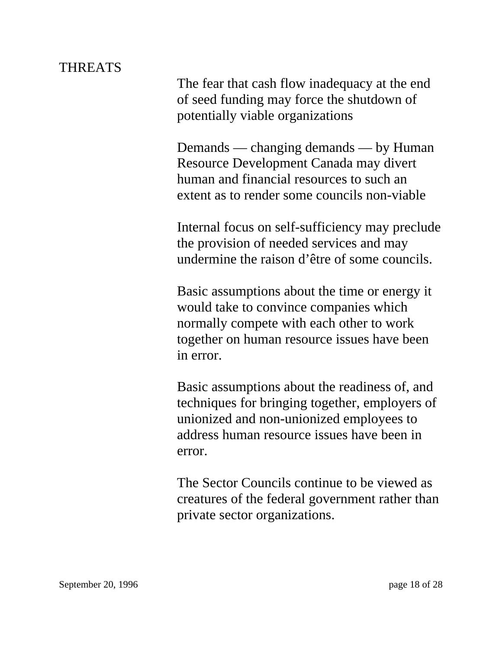#### THREATS

The fear that cash flow inadequacy at the end of seed funding may force the shutdown of potentially viable organizations

Demands — changing demands — by Human Resource Development Canada may divert human and financial resources to such an extent as to render some councils non-viable

Internal focus on self-sufficiency may preclude the provision of needed services and may undermine the raison d'être of some councils.

Basic assumptions about the time or energy it would take to convince companies which normally compete with each other to work together on human resource issues have been in error.

Basic assumptions about the readiness of, and techniques for bringing together, employers of unionized and non-unionized employees to address human resource issues have been in error.

The Sector Councils continue to be viewed as creatures of the federal government rather than private sector organizations.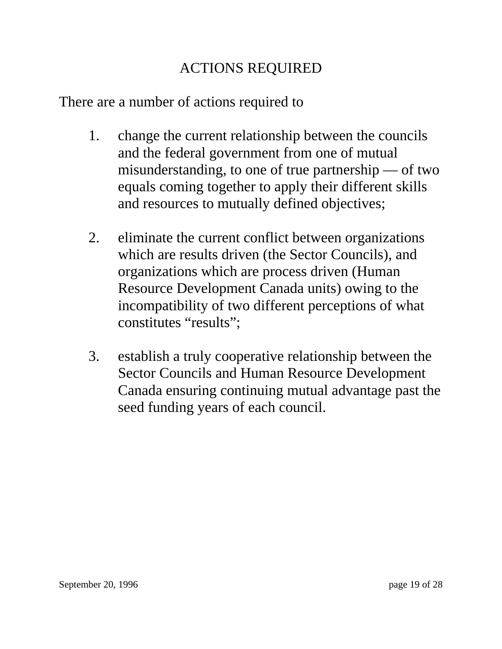## ACTIONS REQUIRED

There are a number of actions required to

- 1. change the current relationship between the councils and the federal government from one of mutual misunderstanding, to one of true partnership — of two equals coming together to apply their different skills and resources to mutually defined objectives;
- 2. eliminate the current conflict between organizations which are results driven (the Sector Councils), and organizations which are process driven (Human Resource Development Canada units) owing to the incompatibility of two different perceptions of what constitutes "results";
- 3. establish a truly cooperative relationship between the Sector Councils and Human Resource Development Canada ensuring continuing mutual advantage past the seed funding years of each council.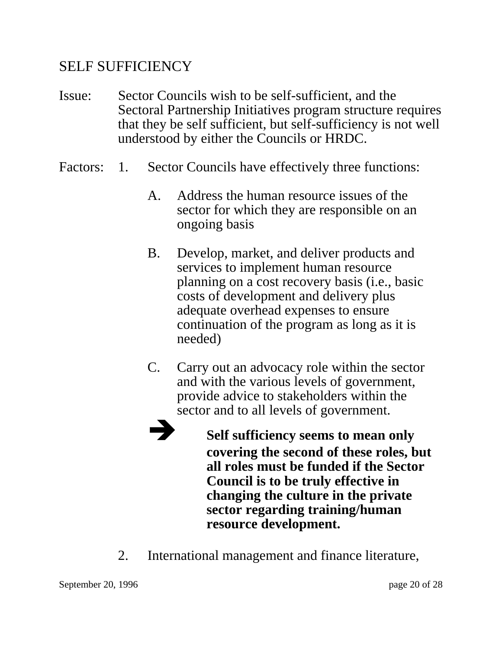#### SELF SUFFICIENCY

- Issue: Sector Councils wish to be self-sufficient, and the Sectoral Partnership Initiatives program structure requires that they be self sufficient, but self-sufficiency is not well understood by either the Councils or HRDC.
- Factors: 1. Sector Councils have effectively three functions:
	- A. Address the human resource issues of the sector for which they are responsible on an ongoing basis
	- B. Develop, market, and deliver products and services to implement human resource planning on a cost recovery basis (i.e., basic costs of development and delivery plus adequate overhead expenses to ensure continuation of the program as long as it is needed)
	- C. Carry out an advocacy role within the sector and with the various levels of government, provide advice to stakeholders within the sector and to all levels of government.
		- Î **Self sufficiency seems to mean only covering the second of these roles, but all roles must be funded if the Sector Council is to be truly effective in changing the culture in the private sector regarding training/human resource development.**
	- 2. International management and finance literature,

September 20, 1996 page 20 of 28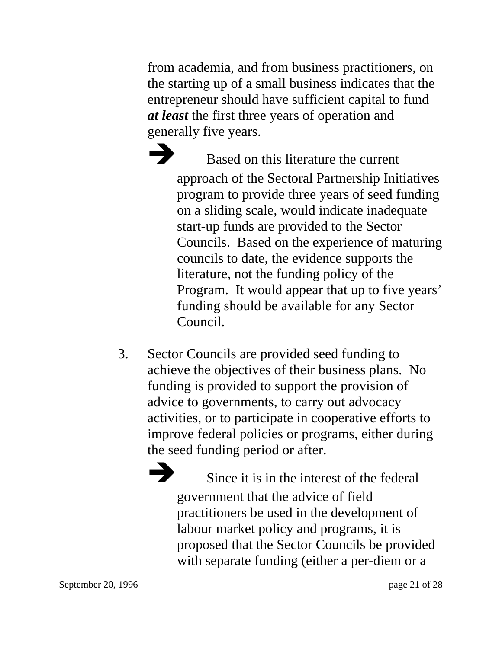from academia, and from business practitioners, on the starting up of a small business indicates that the entrepreneur should have sufficient capital to fund *at least* the first three years of operation and generally five years.

Based on this literature the current approach of the Sectoral Partnership Initiatives program to provide three years of seed funding on a sliding scale, would indicate inadequate start-up funds are provided to the Sector Councils. Based on the experience of maturing councils to date, the evidence supports the literature, not the funding policy of the Program. It would appear that up to five years' funding should be available for any Sector Council.

3. Sector Councils are provided seed funding to achieve the objectives of their business plans. No funding is provided to support the provision of advice to governments, to carry out advocacy activities, or to participate in cooperative efforts to improve federal policies or programs, either during the seed funding period or after.

> Since it is in the interest of the federal government that the advice of field practitioners be used in the development of labour market policy and programs, it is proposed that the Sector Councils be provided with separate funding (either a per-diem or a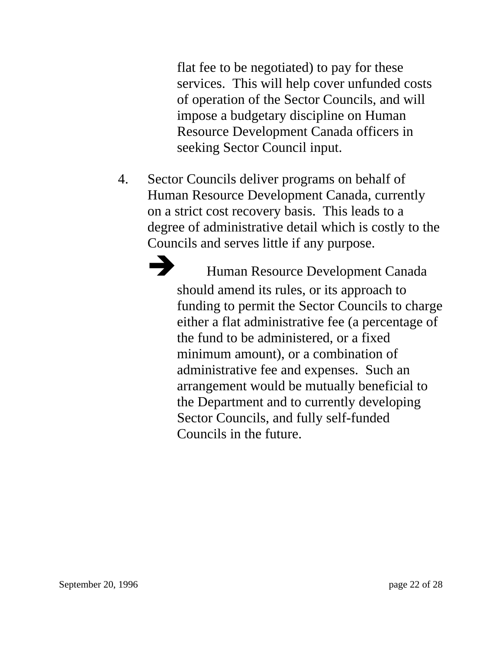flat fee to be negotiated) to pay for these services. This will help cover unfunded costs of operation of the Sector Councils, and will impose a budgetary discipline on Human Resource Development Canada officers in seeking Sector Council input.

4. Sector Councils deliver programs on behalf of Human Resource Development Canada, currently on a strict cost recovery basis. This leads to a degree of administrative detail which is costly to the Councils and serves little if any purpose.

Human Resource Development Canada should amend its rules, or its approach to funding to permit the Sector Councils to charge either a flat administrative fee (a percentage of the fund to be administered, or a fixed minimum amount), or a combination of administrative fee and expenses. Such an arrangement would be mutually beneficial to the Department and to currently developing Sector Councils, and fully self-funded Councils in the future.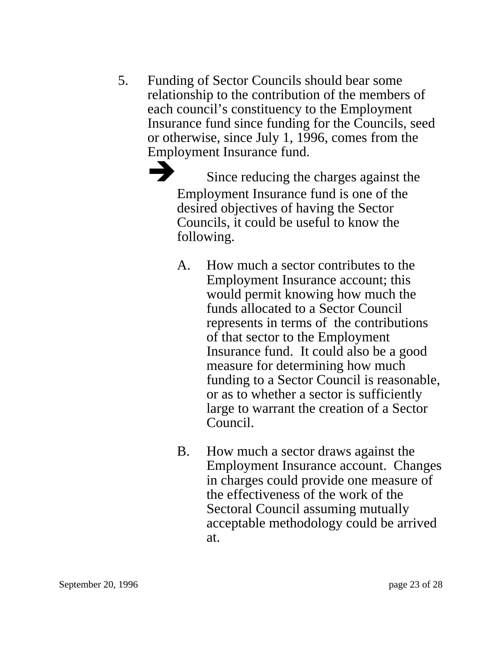5. Funding of Sector Councils should bear some relationship to the contribution of the members of each council's constituency to the Employment Insurance fund since funding for the Councils, seed or otherwise, since July 1, 1996, comes from the Employment Insurance fund.

> Since reducing the charges against the Employment Insurance fund is one of the desired objectives of having the Sector Councils, it could be useful to know the following.

- A. How much a sector contributes to the Employment Insurance account; this would permit knowing how much the funds allocated to a Sector Council represents in terms of the contributions of that sector to the Employment Insurance fund. It could also be a good measure for determining how much funding to a Sector Council is reasonable, or as to whether a sector is sufficiently large to warrant the creation of a Sector Council.
- B. How much a sector draws against the Employment Insurance account. Changes in charges could provide one measure of the effectiveness of the work of the Sectoral Council assuming mutually acceptable methodology could be arrived at.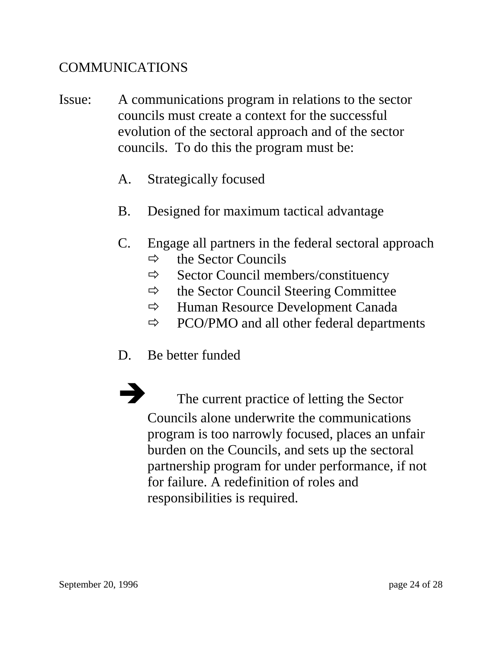#### COMMUNICATIONS

- Issue: A communications program in relations to the sector councils must create a context for the successful evolution of the sectoral approach and of the sector councils. To do this the program must be:
	- A. Strategically focused
	- B. Designed for maximum tactical advantage
	- C. Engage all partners in the federal sectoral approach
		- $\Rightarrow$  the Sector Councils
		- $\Rightarrow$  Sector Council members/constituency
		- $\Rightarrow$  the Sector Council Steering Committee
		- $\Rightarrow$  Human Resource Development Canada
		- $\Rightarrow$  PCO/PMO and all other federal departments
	- D. Be better funded

The current practice of letting the Sector Councils alone underwrite the communications program is too narrowly focused, places an unfair burden on the Councils, and sets up the sectoral partnership program for under performance, if not for failure. A redefinition of roles and responsibilities is required.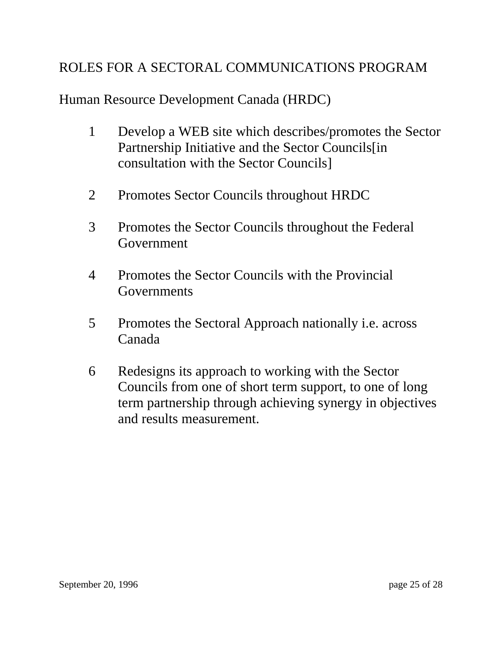### ROLES FOR A SECTORAL COMMUNICATIONS PROGRAM

Human Resource Development Canada (HRDC)

- 1 Develop a WEB site which describes/promotes the Sector Partnership Initiative and the Sector Councils[in consultation with the Sector Councils]
- 2 Promotes Sector Councils throughout HRDC
- 3 Promotes the Sector Councils throughout the Federal Government
- 4 Promotes the Sector Councils with the Provincial Governments
- 5 Promotes the Sectoral Approach nationally i.e. across Canada
- 6 Redesigns its approach to working with the Sector Councils from one of short term support, to one of long term partnership through achieving synergy in objectives and results measurement.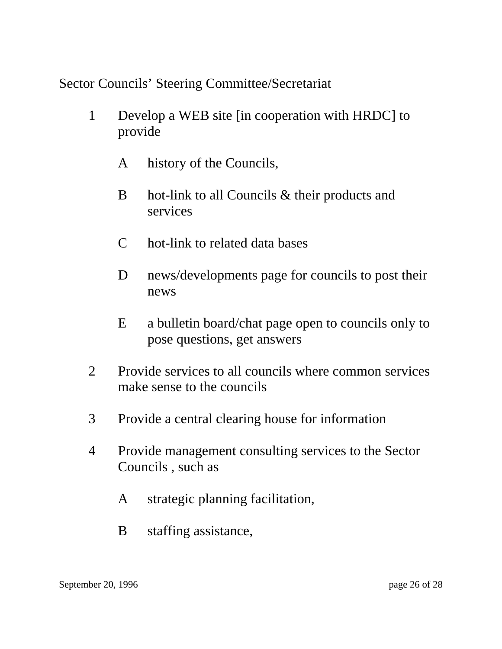Sector Councils' Steering Committee/Secretariat

- 1 Develop a WEB site [in cooperation with HRDC] to provide
	- A history of the Councils,
	- B hot-link to all Councils & their products and services
	- C hot-link to related data bases
	- D news/developments page for councils to post their news
	- E a bulletin board/chat page open to councils only to pose questions, get answers
- 2 Provide services to all councils where common services make sense to the councils
- 3 Provide a central clearing house for information
- 4 Provide management consulting services to the Sector Councils , such as
	- A strategic planning facilitation,
	- B staffing assistance,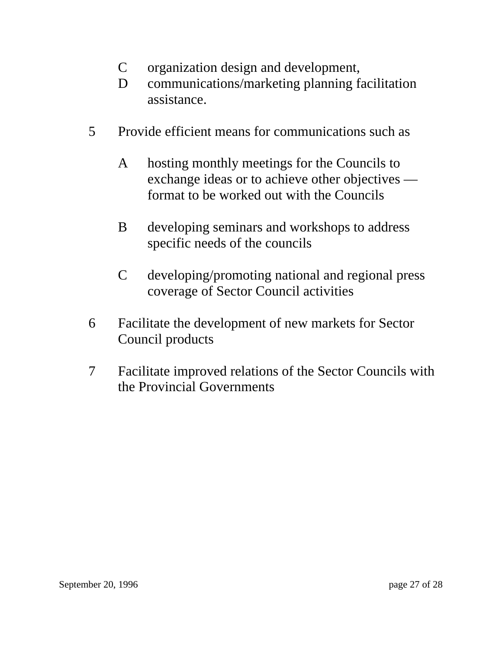- C organization design and development,
- D communications/marketing planning facilitation assistance.
- 5 Provide efficient means for communications such as
	- A hosting monthly meetings for the Councils to exchange ideas or to achieve other objectives format to be worked out with the Councils
	- B developing seminars and workshops to address specific needs of the councils
	- C developing/promoting national and regional press coverage of Sector Council activities
- 6 Facilitate the development of new markets for Sector Council products
- 7 Facilitate improved relations of the Sector Councils with the Provincial Governments